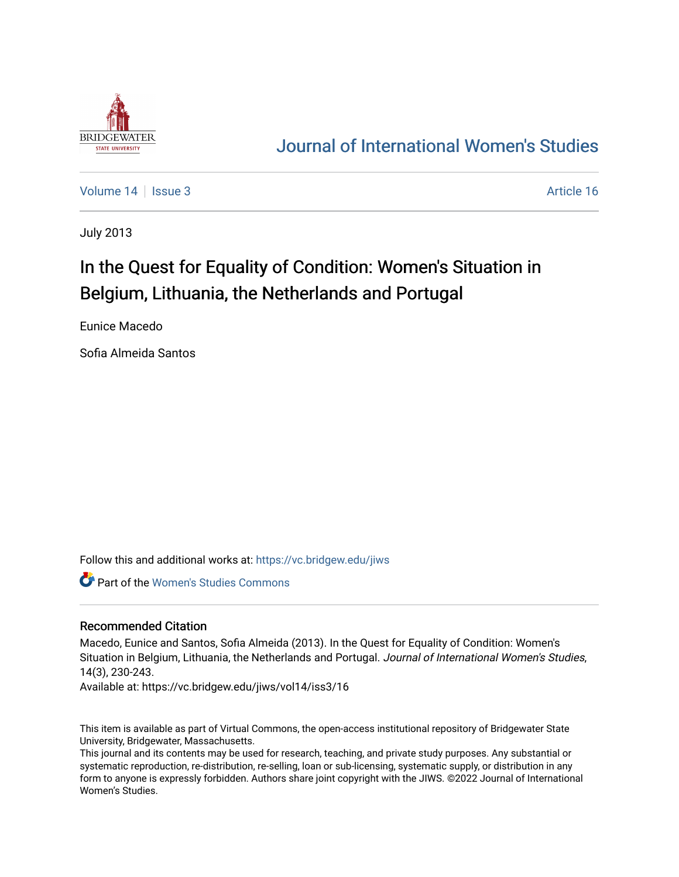

# [Journal of International Women's Studies](https://vc.bridgew.edu/jiws)

[Volume 14](https://vc.bridgew.edu/jiws/vol14) | [Issue 3](https://vc.bridgew.edu/jiws/vol14/iss3) Article 16

July 2013

# In the Quest for Equality of Condition: Women's Situation in Belgium, Lithuania, the Netherlands and Portugal

Eunice Macedo

Sofia Almeida Santos

Follow this and additional works at: [https://vc.bridgew.edu/jiws](https://vc.bridgew.edu/jiws?utm_source=vc.bridgew.edu%2Fjiws%2Fvol14%2Fiss3%2F16&utm_medium=PDF&utm_campaign=PDFCoverPages)

Part of the [Women's Studies Commons](http://network.bepress.com/hgg/discipline/561?utm_source=vc.bridgew.edu%2Fjiws%2Fvol14%2Fiss3%2F16&utm_medium=PDF&utm_campaign=PDFCoverPages) 

#### Recommended Citation

Macedo, Eunice and Santos, Sofia Almeida (2013). In the Quest for Equality of Condition: Women's Situation in Belgium, Lithuania, the Netherlands and Portugal. Journal of International Women's Studies, 14(3), 230-243.

Available at: https://vc.bridgew.edu/jiws/vol14/iss3/16

This item is available as part of Virtual Commons, the open-access institutional repository of Bridgewater State University, Bridgewater, Massachusetts.

This journal and its contents may be used for research, teaching, and private study purposes. Any substantial or systematic reproduction, re-distribution, re-selling, loan or sub-licensing, systematic supply, or distribution in any form to anyone is expressly forbidden. Authors share joint copyright with the JIWS. ©2022 Journal of International Women's Studies.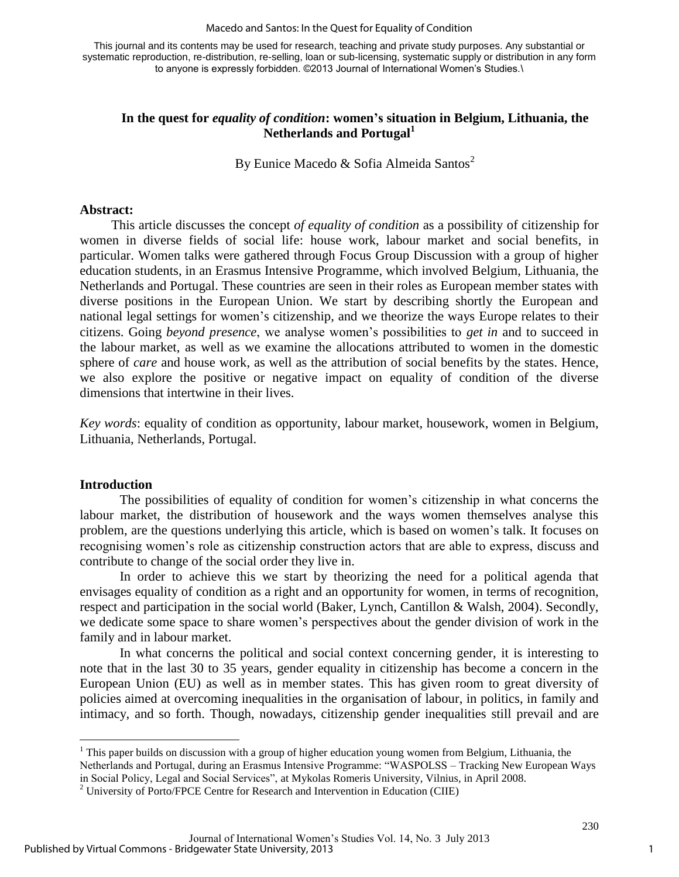This journal and its contents may be used for research, teaching and private study purposes. Any substantial or systematic reproduction, re-distribution, re-selling, loan or sub-licensing, systematic supply or distribution in any form to anyone is expressly forbidden. ©2013 Journal of International Women's Studies.\

# **In the quest for** *equality of condition***: women's situation in Belgium, Lithuania, the Netherlands and Portugal<sup>1</sup>**

By Eunice Macedo & Sofia Almeida Santos<sup>2</sup>

#### **Abstract:**

This article discusses the concept *of equality of condition* as a possibility of citizenship for women in diverse fields of social life: house work, labour market and social benefits, in particular. Women talks were gathered through Focus Group Discussion with a group of higher education students, in an Erasmus Intensive Programme, which involved Belgium, Lithuania, the Netherlands and Portugal. These countries are seen in their roles as European member states with diverse positions in the European Union. We start by describing shortly the European and national legal settings for women's citizenship, and we theorize the ways Europe relates to their citizens. Going *beyond presence*, we analyse women's possibilities to *get in* and to succeed in the labour market, as well as we examine the allocations attributed to women in the domestic sphere of *care* and house work, as well as the attribution of social benefits by the states. Hence, we also explore the positive or negative impact on equality of condition of the diverse dimensions that intertwine in their lives.

*Key words*: equality of condition as opportunity, labour market, housework, women in Belgium, Lithuania, Netherlands, Portugal.

#### **Introduction**

 $\overline{a}$ 

The possibilities of equality of condition for women's citizenship in what concerns the labour market, the distribution of housework and the ways women themselves analyse this problem, are the questions underlying this article, which is based on women's talk. It focuses on recognising women's role as citizenship construction actors that are able to express, discuss and contribute to change of the social order they live in.

In order to achieve this we start by theorizing the need for a political agenda that envisages equality of condition as a right and an opportunity for women, in terms of recognition, respect and participation in the social world (Baker, Lynch, Cantillon & Walsh, 2004). Secondly, we dedicate some space to share women's perspectives about the gender division of work in the family and in labour market.

In what concerns the political and social context concerning gender, it is interesting to note that in the last 30 to 35 years, gender equality in citizenship has become a concern in the European Union (EU) as well as in member states. This has given room to great diversity of policies aimed at overcoming inequalities in the organisation of labour, in politics, in family and intimacy, and so forth. Though, nowadays, citizenship gender inequalities still prevail and are

Netherlands and Portugal, during an Erasmus Intensive Programme: "WASPOLSS – Tracking New European Ways

<sup>&</sup>lt;sup>1</sup> This paper builds on discussion with a group of higher education young women from Belgium, Lithuania, the

in Social Policy, Legal and Social Services", at Mykolas Romeris University, Vilnius, in April 2008.

 $2$  University of Porto/FPCE Centre for Research and Intervention in Education (CIIE)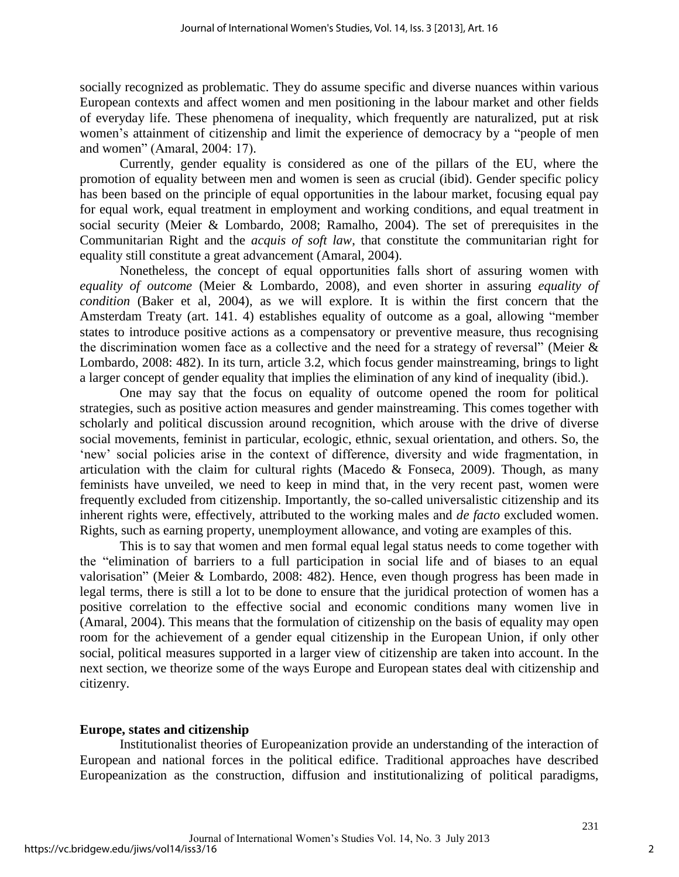socially recognized as problematic. They do assume specific and diverse nuances within various European contexts and affect women and men positioning in the labour market and other fields of everyday life. These phenomena of inequality, which frequently are naturalized, put at risk women's attainment of citizenship and limit the experience of democracy by a "people of men and women" (Amaral, 2004: 17).

Currently, gender equality is considered as one of the pillars of the EU, where the promotion of equality between men and women is seen as crucial (ibid). Gender specific policy has been based on the principle of equal opportunities in the labour market, focusing equal pay for equal work, equal treatment in employment and working conditions, and equal treatment in social security (Meier & Lombardo, 2008; Ramalho, 2004). The set of prerequisites in the Communitarian Right and the *acquis of soft law*, that constitute the communitarian right for equality still constitute a great advancement (Amaral, 2004).

Nonetheless, the concept of equal opportunities falls short of assuring women with *equality of outcome* (Meier & Lombardo, 2008), and even shorter in assuring *equality of condition* (Baker et al, 2004), as we will explore. It is within the first concern that the Amsterdam Treaty (art. 141. 4) establishes equality of outcome as a goal, allowing "member states to introduce positive actions as a compensatory or preventive measure, thus recognising the discrimination women face as a collective and the need for a strategy of reversal" (Meier  $\&$ Lombardo, 2008: 482). In its turn, article 3.2, which focus gender mainstreaming, brings to light a larger concept of gender equality that implies the elimination of any kind of inequality (ibid.).

One may say that the focus on equality of outcome opened the room for political strategies, such as positive action measures and gender mainstreaming. This comes together with scholarly and political discussion around recognition, which arouse with the drive of diverse social movements, feminist in particular, ecologic, ethnic, sexual orientation, and others. So, the 'new' social policies arise in the context of difference, diversity and wide fragmentation, in articulation with the claim for cultural rights (Macedo & Fonseca, 2009). Though, as many feminists have unveiled, we need to keep in mind that, in the very recent past, women were frequently excluded from citizenship. Importantly, the so-called universalistic citizenship and its inherent rights were, effectively, attributed to the working males and *de facto* excluded women. Rights, such as earning property, unemployment allowance, and voting are examples of this.

This is to say that women and men formal equal legal status needs to come together with the "elimination of barriers to a full participation in social life and of biases to an equal valorisation" (Meier & Lombardo, 2008: 482). Hence, even though progress has been made in legal terms, there is still a lot to be done to ensure that the juridical protection of women has a positive correlation to the effective social and economic conditions many women live in (Amaral, 2004). This means that the formulation of citizenship on the basis of equality may open room for the achievement of a gender equal citizenship in the European Union, if only other social, political measures supported in a larger view of citizenship are taken into account. In the next section, we theorize some of the ways Europe and European states deal with citizenship and citizenry.

#### **Europe, states and citizenship**

Institutionalist theories of Europeanization provide an understanding of the interaction of European and national forces in the political edifice. Traditional approaches have described Europeanization as the construction, diffusion and institutionalizing of political paradigms,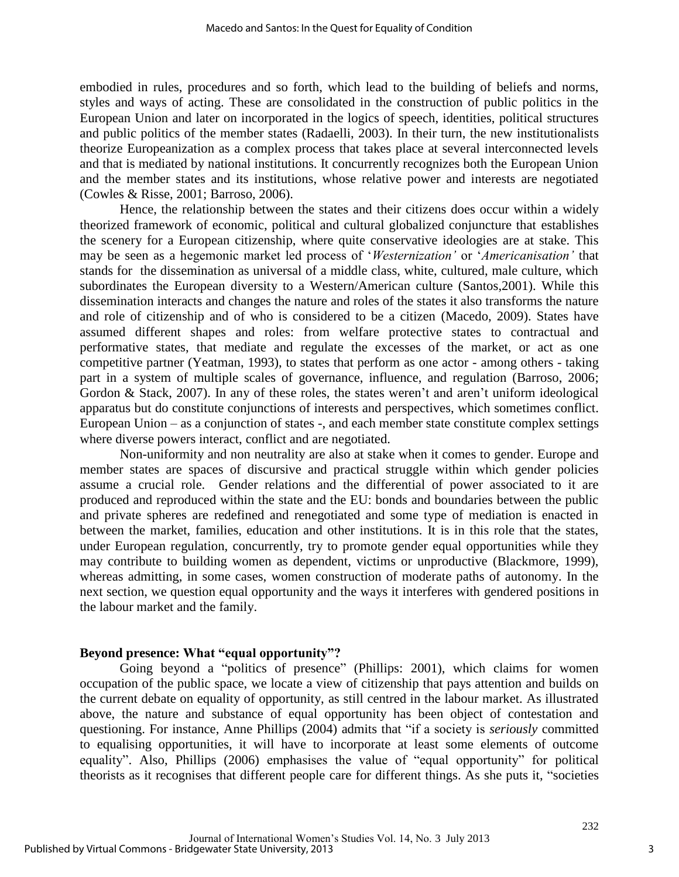embodied in rules, procedures and so forth, which lead to the building of beliefs and norms, styles and ways of acting. These are consolidated in the construction of public politics in the European Union and later on incorporated in the logics of speech, identities, political structures and public politics of the member states (Radaelli, 2003). In their turn, the new institutionalists theorize Europeanization as a complex process that takes place at several interconnected levels and that is mediated by national institutions. It concurrently recognizes both the European Union and the member states and its institutions, whose relative power and interests are negotiated (Cowles & Risse, 2001; Barroso, 2006).

Hence, the relationship between the states and their citizens does occur within a widely theorized framework of economic, political and cultural globalized conjuncture that establishes the scenery for a European citizenship, where quite conservative ideologies are at stake. This may be seen as a hegemonic market led process of '*Westernization'* or '*Americanisation'* that stands for the dissemination as universal of a middle class, white, cultured, male culture, which subordinates the European diversity to a Western/American culture (Santos,2001). While this dissemination interacts and changes the nature and roles of the states it also transforms the nature and role of citizenship and of who is considered to be a citizen (Macedo, 2009). States have assumed different shapes and roles: from welfare protective states to contractual and performative states, that mediate and regulate the excesses of the market, or act as one competitive partner (Yeatman, 1993), to states that perform as one actor - among others - taking part in a system of multiple scales of governance, influence, and regulation (Barroso, 2006; Gordon & Stack, 2007). In any of these roles, the states weren't and aren't uniform ideological apparatus but do constitute conjunctions of interests and perspectives, which sometimes conflict. European Union – as a conjunction of states -, and each member state constitute complex settings where diverse powers interact, conflict and are negotiated.

Non-uniformity and non neutrality are also at stake when it comes to gender. Europe and member states are spaces of discursive and practical struggle within which gender policies assume a crucial role. Gender relations and the differential of power associated to it are produced and reproduced within the state and the EU: bonds and boundaries between the public and private spheres are redefined and renegotiated and some type of mediation is enacted in between the market, families, education and other institutions. It is in this role that the states, under European regulation, concurrently, try to promote gender equal opportunities while they may contribute to building women as dependent, victims or unproductive (Blackmore, 1999), whereas admitting, in some cases, women construction of moderate paths of autonomy. In the next section, we question equal opportunity and the ways it interferes with gendered positions in the labour market and the family.

#### **Beyond presence: What "equal opportunity"?**

Going beyond a "politics of presence" (Phillips: 2001), which claims for women occupation of the public space, we locate a view of citizenship that pays attention and builds on the current debate on equality of opportunity, as still centred in the labour market. As illustrated above, the nature and substance of equal opportunity has been object of contestation and questioning. For instance, Anne Phillips (2004) admits that "if a society is *seriously* committed to equalising opportunities, it will have to incorporate at least some elements of outcome equality". Also, Phillips (2006) emphasises the value of "equal opportunity" for political theorists as it recognises that different people care for different things. As she puts it, "societies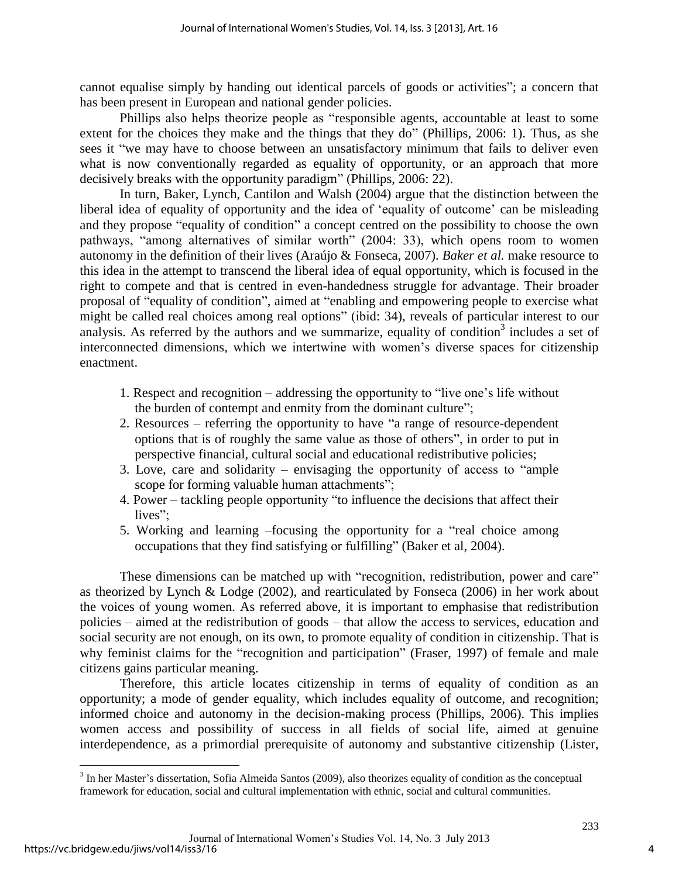cannot equalise simply by handing out identical parcels of goods or activities"; a concern that has been present in European and national gender policies.

Phillips also helps theorize people as "responsible agents, accountable at least to some extent for the choices they make and the things that they do" (Phillips, 2006: 1). Thus, as she sees it "we may have to choose between an unsatisfactory minimum that fails to deliver even what is now conventionally regarded as equality of opportunity, or an approach that more decisively breaks with the opportunity paradigm" (Phillips, 2006: 22).

In turn, Baker, Lynch, Cantilon and Walsh (2004) argue that the distinction between the liberal idea of equality of opportunity and the idea of 'equality of outcome' can be misleading and they propose "equality of condition" a concept centred on the possibility to choose the own pathways, "among alternatives of similar worth" (2004: 33), which opens room to women autonomy in the definition of their lives (Araújo & Fonseca, 2007). *Baker et al.* make resource to this idea in the attempt to transcend the liberal idea of equal opportunity, which is focused in the right to compete and that is centred in even-handedness struggle for advantage. Their broader proposal of "equality of condition", aimed at "enabling and empowering people to exercise what might be called real choices among real options" (ibid: 34), reveals of particular interest to our analysis. As referred by the authors and we summarize, equality of condition<sup>3</sup> includes a set of interconnected dimensions, which we intertwine with women's diverse spaces for citizenship enactment.

- 1. Respect and recognition addressing the opportunity to "live one's life without the burden of contempt and enmity from the dominant culture";
- 2. Resources referring the opportunity to have "a range of resource-dependent options that is of roughly the same value as those of others", in order to put in perspective financial, cultural social and educational redistributive policies;
- 3. Love, care and solidarity envisaging the opportunity of access to "ample scope for forming valuable human attachments";
- 4. Power tackling people opportunity "to influence the decisions that affect their lives":
- 5. Working and learning –focusing the opportunity for a "real choice among occupations that they find satisfying or fulfilling" (Baker et al, 2004).

These dimensions can be matched up with "recognition, redistribution, power and care" as theorized by Lynch & Lodge (2002), and rearticulated by Fonseca (2006) in her work about the voices of young women. As referred above, it is important to emphasise that redistribution policies – aimed at the redistribution of goods – that allow the access to services, education and social security are not enough, on its own, to promote equality of condition in citizenship. That is why feminist claims for the "recognition and participation" (Fraser, 1997) of female and male citizens gains particular meaning.

Therefore, this article locates citizenship in terms of equality of condition as an opportunity; a mode of gender equality, which includes equality of outcome, and recognition; informed choice and autonomy in the decision-making process (Phillips, 2006). This implies women access and possibility of success in all fields of social life, aimed at genuine interdependence, as a primordial prerequisite of autonomy and substantive citizenship (Lister,

<sup>&</sup>lt;sup>3</sup> In her Master's dissertation, Sofia Almeida Santos (2009), also theorizes equality of condition as the conceptual framework for education, social and cultural implementation with ethnic, social and cultural communities.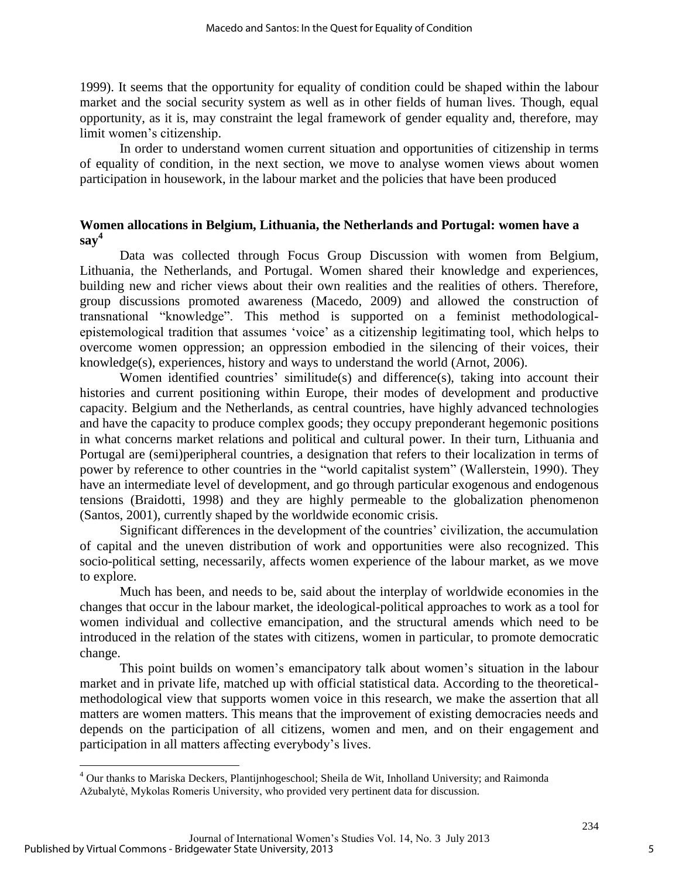1999). It seems that the opportunity for equality of condition could be shaped within the labour market and the social security system as well as in other fields of human lives. Though, equal opportunity, as it is, may constraint the legal framework of gender equality and, therefore, may limit women's citizenship.

In order to understand women current situation and opportunities of citizenship in terms of equality of condition, in the next section, we move to analyse women views about women participation in housework, in the labour market and the policies that have been produced

# **Women allocations in Belgium, Lithuania, the Netherlands and Portugal: women have a say<sup>4</sup>**

Data was collected through Focus Group Discussion with women from Belgium, Lithuania, the Netherlands, and Portugal. Women shared their knowledge and experiences, building new and richer views about their own realities and the realities of others. Therefore, group discussions promoted awareness (Macedo, 2009) and allowed the construction of transnational "knowledge". This method is supported on a feminist methodologicalepistemological tradition that assumes 'voice' as a citizenship legitimating tool, which helps to overcome women oppression; an oppression embodied in the silencing of their voices, their knowledge(s), experiences, history and ways to understand the world (Arnot, 2006).

Women identified countries' similitude(s) and difference(s), taking into account their histories and current positioning within Europe, their modes of development and productive capacity. Belgium and the Netherlands, as central countries, have highly advanced technologies and have the capacity to produce complex goods; they occupy preponderant hegemonic positions in what concerns market relations and political and cultural power. In their turn, Lithuania and Portugal are (semi)peripheral countries, a designation that refers to their localization in terms of power by reference to other countries in the "world capitalist system" (Wallerstein, 1990). They have an intermediate level of development, and go through particular exogenous and endogenous tensions (Braidotti, 1998) and they are highly permeable to the globalization phenomenon (Santos, 2001), currently shaped by the worldwide economic crisis.

Significant differences in the development of the countries' civilization, the accumulation of capital and the uneven distribution of work and opportunities were also recognized. This socio-political setting, necessarily, affects women experience of the labour market, as we move to explore.

Much has been, and needs to be, said about the interplay of worldwide economies in the changes that occur in the labour market, the ideological-political approaches to work as a tool for women individual and collective emancipation, and the structural amends which need to be introduced in the relation of the states with citizens, women in particular, to promote democratic change.

This point builds on women's emancipatory talk about women's situation in the labour market and in private life, matched up with official statistical data. According to the theoreticalmethodological view that supports women voice in this research, we make the assertion that all matters are women matters. This means that the improvement of existing democracies needs and depends on the participation of all citizens, women and men, and on their engagement and participation in all matters affecting everybody's lives.

<sup>&</sup>lt;sup>4</sup> Our thanks to Mariska Deckers, Plantijnhogeschool; Sheila de Wit, Inholland University; and Raimonda Ažubalytė, Mykolas Romeris University, who provided very pertinent data for discussion.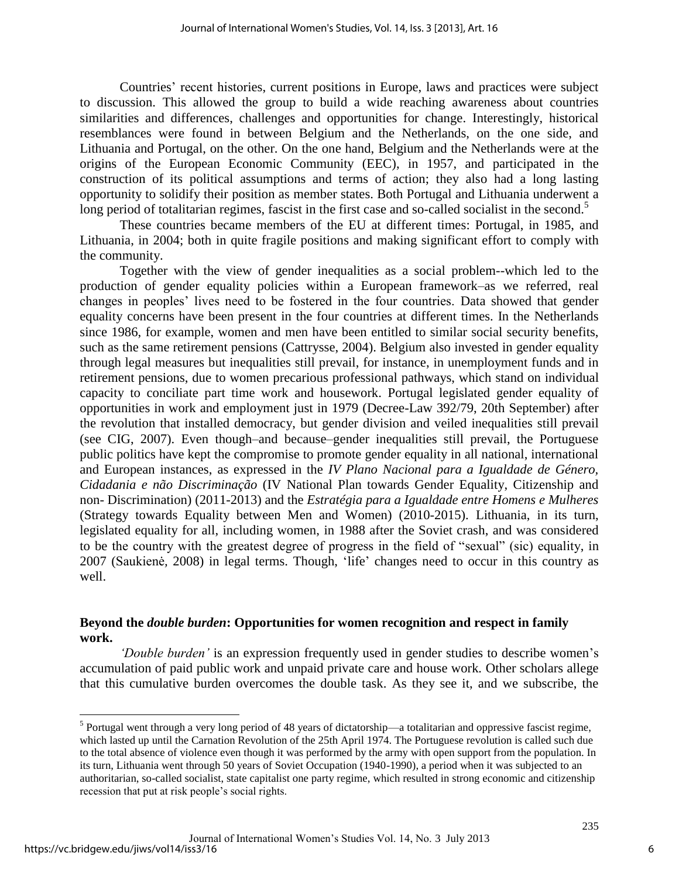Countries' recent histories, current positions in Europe, laws and practices were subject to discussion. This allowed the group to build a wide reaching awareness about countries similarities and differences, challenges and opportunities for change. Interestingly, historical resemblances were found in between Belgium and the Netherlands, on the one side, and Lithuania and Portugal, on the other. On the one hand, Belgium and the Netherlands were at the origins of the European Economic Community (EEC), in 1957, and participated in the construction of its political assumptions and terms of action; they also had a long lasting opportunity to solidify their position as member states. Both Portugal and Lithuania underwent a long period of totalitarian regimes, fascist in the first case and so-called socialist in the second.<sup>5</sup>

These countries became members of the EU at different times: Portugal, in 1985, and Lithuania, in 2004; both in quite fragile positions and making significant effort to comply with the community.

Together with the view of gender inequalities as a social problem--which led to the production of gender equality policies within a European framework–as we referred, real changes in peoples' lives need to be fostered in the four countries. Data showed that gender equality concerns have been present in the four countries at different times. In the Netherlands since 1986, for example, women and men have been entitled to similar social security benefits, such as the same retirement pensions (Cattrysse, 2004). Belgium also invested in gender equality through legal measures but inequalities still prevail, for instance, in unemployment funds and in retirement pensions, due to women precarious professional pathways, which stand on individual capacity to conciliate part time work and housework. Portugal legislated gender equality of opportunities in work and employment just in 1979 (Decree-Law 392/79, 20th September) after the revolution that installed democracy, but gender division and veiled inequalities still prevail (see CIG, 2007). Even though–and because–gender inequalities still prevail, the Portuguese public politics have kept the compromise to promote gender equality in all national, international and European instances, as expressed in the *IV Plano Nacional para a Igualdade de Género, Cidadania e não Discriminação* (IV National Plan towards Gender Equality, Citizenship and non- Discrimination) (2011-2013) and the *Estratégia para a Igualdade entre Homens e Mulheres* (Strategy towards Equality between Men and Women) (2010-2015). Lithuania, in its turn, legislated equality for all, including women, in 1988 after the Soviet crash, and was considered to be the country with the greatest degree of progress in the field of "sexual" (sic) equality, in 2007 (Saukienė*,* 2008) in legal terms. Though, 'life' changes need to occur in this country as well.

#### **Beyond the** *double burden***: Opportunities for women recognition and respect in family work.**

*'Double burden'* is an expression frequently used in gender studies to describe women's accumulation of paid public work and unpaid private care and house work*.* Other scholars allege that this cumulative burden overcomes the double task. As they see it, and we subscribe, the

 $<sup>5</sup>$  Portugal went through a very long period of 48 years of dictatorship—a totalitarian and oppressive fascist regime,</sup> which lasted up until the Carnation Revolution of the 25th April 1974. The Portuguese revolution is called such due to the total absence of violence even though it was performed by the army with open support from the population. In its turn, Lithuania went through 50 years of Soviet Occupation (1940-1990), a period when it was subjected to an authoritarian, so-called socialist, state capitalist one party regime, which resulted in strong economic and citizenship recession that put at risk people's social rights.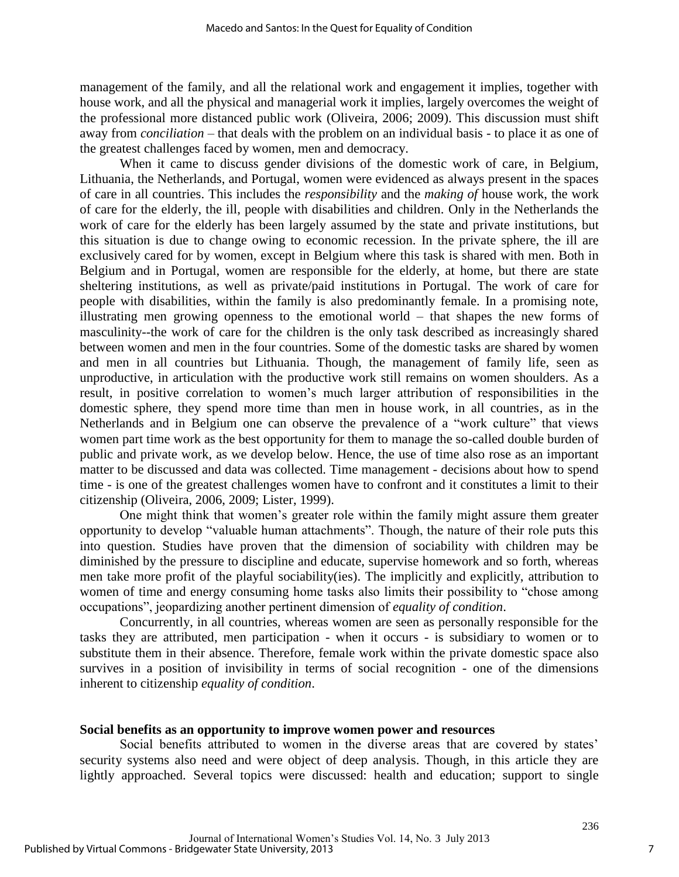management of the family, and all the relational work and engagement it implies, together with house work, and all the physical and managerial work it implies, largely overcomes the weight of the professional more distanced public work (Oliveira, 2006; 2009). This discussion must shift away from *conciliation* – that deals with the problem on an individual basis - to place it as one of the greatest challenges faced by women, men and democracy.

When it came to discuss gender divisions of the domestic work of care, in Belgium, Lithuania, the Netherlands, and Portugal, women were evidenced as always present in the spaces of care in all countries. This includes the *responsibility* and the *making of* house work, the work of care for the elderly, the ill, people with disabilities and children. Only in the Netherlands the work of care for the elderly has been largely assumed by the state and private institutions, but this situation is due to change owing to economic recession. In the private sphere, the ill are exclusively cared for by women, except in Belgium where this task is shared with men. Both in Belgium and in Portugal, women are responsible for the elderly, at home, but there are state sheltering institutions, as well as private/paid institutions in Portugal. The work of care for people with disabilities, within the family is also predominantly female. In a promising note, illustrating men growing openness to the emotional world – that shapes the new forms of masculinity--the work of care for the children is the only task described as increasingly shared between women and men in the four countries. Some of the domestic tasks are shared by women and men in all countries but Lithuania. Though, the management of family life, seen as unproductive, in articulation with the productive work still remains on women shoulders. As a result, in positive correlation to women's much larger attribution of responsibilities in the domestic sphere, they spend more time than men in house work, in all countries, as in the Netherlands and in Belgium one can observe the prevalence of a "work culture" that views women part time work as the best opportunity for them to manage the so-called double burden of public and private work, as we develop below. Hence, the use of time also rose as an important matter to be discussed and data was collected. Time management - decisions about how to spend time - is one of the greatest challenges women have to confront and it constitutes a limit to their citizenship (Oliveira, 2006, 2009; Lister, 1999).

One might think that women's greater role within the family might assure them greater opportunity to develop "valuable human attachments". Though, the nature of their role puts this into question. Studies have proven that the dimension of sociability with children may be diminished by the pressure to discipline and educate, supervise homework and so forth, whereas men take more profit of the playful sociability(ies). The implicitly and explicitly, attribution to women of time and energy consuming home tasks also limits their possibility to "chose among occupations", jeopardizing another pertinent dimension of *equality of condition*.

Concurrently, in all countries, whereas women are seen as personally responsible for the tasks they are attributed, men participation - when it occurs - is subsidiary to women or to substitute them in their absence. Therefore, female work within the private domestic space also survives in a position of invisibility in terms of social recognition - one of the dimensions inherent to citizenship *equality of condition*.

#### **Social benefits as an opportunity to improve women power and resources**

Social benefits attributed to women in the diverse areas that are covered by states' security systems also need and were object of deep analysis. Though, in this article they are lightly approached. Several topics were discussed: health and education; support to single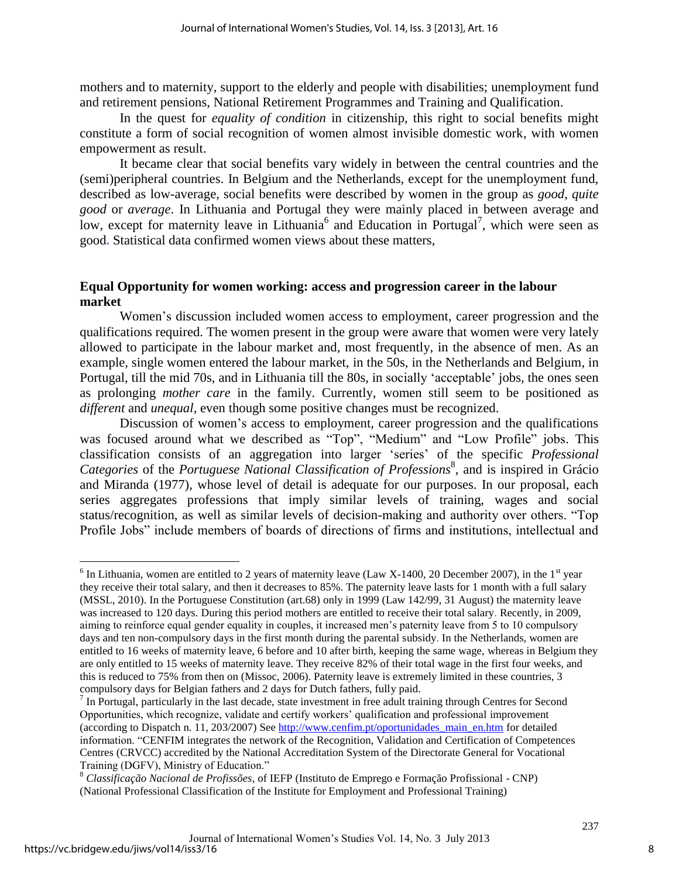mothers and to maternity, support to the elderly and people with disabilities; unemployment fund and retirement pensions, National Retirement Programmes and Training and Qualification.

In the quest for *equality of condition* in citizenship, this right to social benefits might constitute a form of social recognition of women almost invisible domestic work, with women empowerment as result.

It became clear that social benefits vary widely in between the central countries and the (semi)peripheral countries. In Belgium and the Netherlands, except for the unemployment fund, described as low-average, social benefits were described by women in the group as *good*, *quite good* or *average*. In Lithuania and Portugal they were mainly placed in between average and low, except for maternity leave in Lithuania<sup>6</sup> and Education in Portugal<sup>7</sup>, which were seen as good**.** Statistical data confirmed women views about these matters,

# **Equal Opportunity for women working: access and progression career in the labour market**

Women's discussion included women access to employment, career progression and the qualifications required. The women present in the group were aware that women were very lately allowed to participate in the labour market and, most frequently, in the absence of men. As an example, single women entered the labour market, in the 50s, in the Netherlands and Belgium, in Portugal, till the mid 70s, and in Lithuania till the 80s, in socially 'acceptable' jobs, the ones seen as prolonging *mother care* in the family. Currently, women still seem to be positioned as *different* and *unequal*, even though some positive changes must be recognized.

Discussion of women's access to employment, career progression and the qualifications was focused around what we described as "Top", "Medium" and "Low Profile" jobs. This classification consists of an aggregation into larger 'series' of the specific *Professional*  Categories of the *Portuguese National Classification of Professions*<sup>8</sup>, and is inspired in Grácio and Miranda (1977), whose level of detail is adequate for our purposes. In our proposal, each series aggregates professions that imply similar levels of training, wages and social status/recognition, as well as similar levels of decision-making and authority over others. "Top Profile Jobs" include members of boards of directions of firms and institutions, intellectual and

<sup>&</sup>lt;sup>6</sup> In Lithuania, women are entitled to 2 years of maternity leave (Law X-1400, 20 December 2007), in the 1<sup>st</sup> year they receive their total salary, and then it decreases to 85%. The paternity leave lasts for 1 month with a full salary (MSSL, 2010). In the Portuguese Constitution (art.68) only in 1999 (Law 142/99, 31 August) the maternity leave was increased to 120 days. During this period mothers are entitled to receive their total salary. Recently, in 2009, aiming to reinforce equal gender equality in couples, it increased men's paternity leave from 5 to 10 compulsory days and ten non-compulsory days in the first month during the parental subsidy. In the Netherlands, women are entitled to 16 weeks of maternity leave, 6 before and 10 after birth, keeping the same wage, whereas in Belgium they are only entitled to 15 weeks of maternity leave. They receive 82% of their total wage in the first four weeks, and this is reduced to 75% from then on (Missoc, 2006). Paternity leave is extremely limited in these countries, 3 compulsory days for Belgian fathers and 2 days for Dutch fathers, fully paid.

 $<sup>7</sup>$  In Portugal, particularly in the last decade, state investment in free adult training through Centres for Second</sup> Opportunities, which recognize, validate and certify workers' qualification and professional improvement (according to Dispatch n. 11, 203/2007) See [http://www.cenfim.pt/oportunidades\\_main\\_en.htm](http://www.cenfim.pt/oportunidades_main_en.htm) for detailed information. "CENFIM integrates the network of the Recognition, Validation and Certification of Competences Centres (CRVCC) accredited by the National Accreditation System of the Directorate General for Vocational Training (DGFV), Ministry of Education."

<sup>8</sup> *Classificação Nacional de Profissões*, of IEFP (Instituto de Emprego e Formação Profissional - CNP) (National Professional Classification of the Institute for Employment and Professional Training)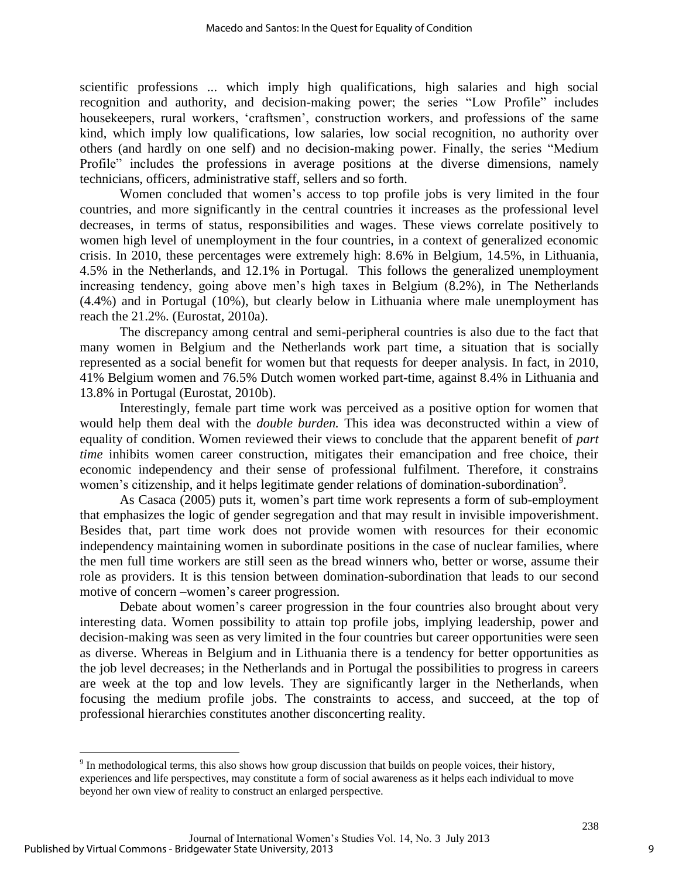scientific professions ... which imply high qualifications, high salaries and high social recognition and authority, and decision-making power; the series "Low Profile" includes housekeepers, rural workers, 'craftsmen', construction workers, and professions of the same kind, which imply low qualifications, low salaries, low social recognition, no authority over others (and hardly on one self) and no decision-making power. Finally, the series "Medium Profile" includes the professions in average positions at the diverse dimensions, namely technicians, officers, administrative staff, sellers and so forth.

Women concluded that women's access to top profile jobs is very limited in the four countries, and more significantly in the central countries it increases as the professional level decreases, in terms of status, responsibilities and wages. These views correlate positively to women high level of unemployment in the four countries, in a context of generalized economic crisis. In 2010, these percentages were extremely high: 8.6% in Belgium, 14.5%, in Lithuania, 4.5% in the Netherlands, and 12.1% in Portugal. This follows the generalized unemployment increasing tendency, going above men's high taxes in Belgium (8.2%), in The Netherlands (4.4%) and in Portugal (10%), but clearly below in Lithuania where male unemployment has reach the 21.2%. (Eurostat, 2010a).

The discrepancy among central and semi-peripheral countries is also due to the fact that many women in Belgium and the Netherlands work part time, a situation that is socially represented as a social benefit for women but that requests for deeper analysis. In fact, in 2010, 41% Belgium women and 76.5% Dutch women worked part-time, against 8.4% in Lithuania and 13.8% in Portugal (Eurostat, 2010b).

Interestingly, female part time work was perceived as a positive option for women that would help them deal with the *double burden.* This idea was deconstructed within a view of equality of condition. Women reviewed their views to conclude that the apparent benefit of *part time* inhibits women career construction, mitigates their emancipation and free choice, their economic independency and their sense of professional fulfilment. Therefore, it constrains women's citizenship, and it helps legitimate gender relations of domination-subordination<sup>9</sup>.

As Casaca (2005) puts it, women's part time work represents a form of sub-employment that emphasizes the logic of gender segregation and that may result in invisible impoverishment. Besides that, part time work does not provide women with resources for their economic independency maintaining women in subordinate positions in the case of nuclear families, where the men full time workers are still seen as the bread winners who, better or worse, assume their role as providers. It is this tension between domination-subordination that leads to our second motive of concern –women's career progression.

Debate about women's career progression in the four countries also brought about very interesting data. Women possibility to attain top profile jobs, implying leadership, power and decision-making was seen as very limited in the four countries but career opportunities were seen as diverse. Whereas in Belgium and in Lithuania there is a tendency for better opportunities as the job level decreases; in the Netherlands and in Portugal the possibilities to progress in careers are week at the top and low levels. They are significantly larger in the Netherlands, when focusing the medium profile jobs. The constraints to access, and succeed, at the top of professional hierarchies constitutes another disconcerting reality.

<sup>&</sup>lt;sup>9</sup> In methodological terms, this also shows how group discussion that builds on people voices, their history, experiences and life perspectives, may constitute a form of social awareness as it helps each individual to move beyond her own view of reality to construct an enlarged perspective.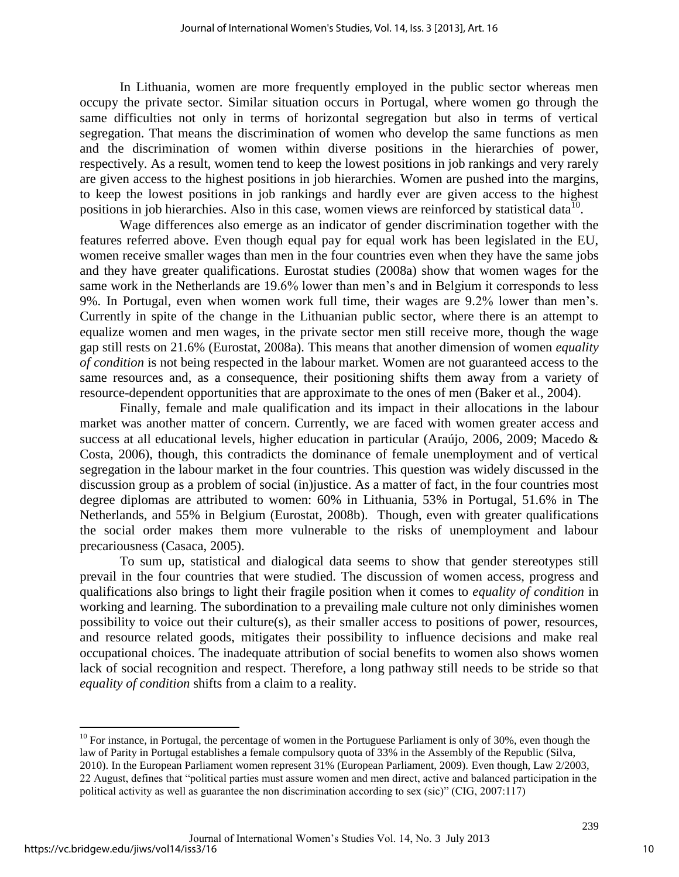In Lithuania, women are more frequently employed in the public sector whereas men occupy the private sector. Similar situation occurs in Portugal, where women go through the same difficulties not only in terms of horizontal segregation but also in terms of vertical segregation. That means the discrimination of women who develop the same functions as men and the discrimination of women within diverse positions in the hierarchies of power, respectively. As a result, women tend to keep the lowest positions in job rankings and very rarely are given access to the highest positions in job hierarchies. Women are pushed into the margins, to keep the lowest positions in job rankings and hardly ever are given access to the highest positions in job hierarchies. Also in this case, women views are reinforced by statistical data<sup>10</sup>.

Wage differences also emerge as an indicator of gender discrimination together with the features referred above. Even though equal pay for equal work has been legislated in the EU, women receive smaller wages than men in the four countries even when they have the same jobs and they have greater qualifications. Eurostat studies (2008a) show that women wages for the same work in the Netherlands are 19.6% lower than men's and in Belgium it corresponds to less 9%. In Portugal, even when women work full time, their wages are 9.2% lower than men's. Currently in spite of the change in the Lithuanian public sector, where there is an attempt to equalize women and men wages, in the private sector men still receive more, though the wage gap still rests on 21.6% (Eurostat, 2008a). This means that another dimension of women *equality of condition* is not being respected in the labour market. Women are not guaranteed access to the same resources and, as a consequence, their positioning shifts them away from a variety of resource-dependent opportunities that are approximate to the ones of men (Baker et al., 2004).

Finally, female and male qualification and its impact in their allocations in the labour market was another matter of concern. Currently, we are faced with women greater access and success at all educational levels, higher education in particular (Araújo, 2006, 2009; Macedo & Costa, 2006), though, this contradicts the dominance of female unemployment and of vertical segregation in the labour market in the four countries. This question was widely discussed in the discussion group as a problem of social (in)justice. As a matter of fact, in the four countries most degree diplomas are attributed to women: 60% in Lithuania, 53% in Portugal, 51.6% in The Netherlands, and 55% in Belgium (Eurostat, 2008b). Though, even with greater qualifications the social order makes them more vulnerable to the risks of unemployment and labour precariousness (Casaca, 2005).

To sum up, statistical and dialogical data seems to show that gender stereotypes still prevail in the four countries that were studied. The discussion of women access, progress and qualifications also brings to light their fragile position when it comes to *equality of condition* in working and learning. The subordination to a prevailing male culture not only diminishes women possibility to voice out their culture(s), as their smaller access to positions of power, resources, and resource related goods, mitigates their possibility to influence decisions and make real occupational choices. The inadequate attribution of social benefits to women also shows women lack of social recognition and respect. Therefore, a long pathway still needs to be stride so that *equality of condition* shifts from a claim to a reality.

 $10$  For instance, in Portugal, the percentage of women in the Portuguese Parliament is only of 30%, even though the law of Parity in Portugal establishes a female compulsory quota of 33% in the Assembly of the Republic (Silva, 2010). In the European Parliament women represent 31% (European Parliament, 2009). Even though, Law 2/2003, 22 August, defines that "political parties must assure women and men direct, active and balanced participation in the political activity as well as guarantee the non discrimination according to sex (sic)" (CIG, 2007:117)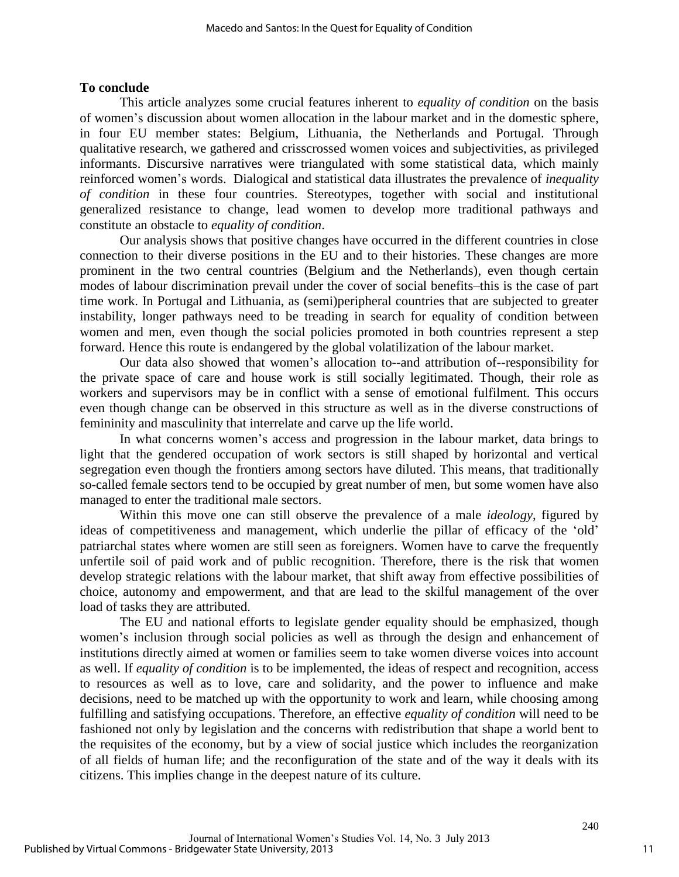# **To conclude**

This article analyzes some crucial features inherent to *equality of condition* on the basis of women's discussion about women allocation in the labour market and in the domestic sphere, in four EU member states: Belgium, Lithuania, the Netherlands and Portugal. Through qualitative research, we gathered and crisscrossed women voices and subjectivities, as privileged informants. Discursive narratives were triangulated with some statistical data, which mainly reinforced women's words. Dialogical and statistical data illustrates the prevalence of *inequality of condition* in these four countries. Stereotypes, together with social and institutional generalized resistance to change, lead women to develop more traditional pathways and constitute an obstacle to *equality of condition*.

Our analysis shows that positive changes have occurred in the different countries in close connection to their diverse positions in the EU and to their histories. These changes are more prominent in the two central countries (Belgium and the Netherlands), even though certain modes of labour discrimination prevail under the cover of social benefits–this is the case of part time work. In Portugal and Lithuania, as (semi)peripheral countries that are subjected to greater instability, longer pathways need to be treading in search for equality of condition between women and men, even though the social policies promoted in both countries represent a step forward. Hence this route is endangered by the global volatilization of the labour market.

Our data also showed that women's allocation to--and attribution of--responsibility for the private space of care and house work is still socially legitimated. Though, their role as workers and supervisors may be in conflict with a sense of emotional fulfilment. This occurs even though change can be observed in this structure as well as in the diverse constructions of femininity and masculinity that interrelate and carve up the life world.

In what concerns women's access and progression in the labour market, data brings to light that the gendered occupation of work sectors is still shaped by horizontal and vertical segregation even though the frontiers among sectors have diluted. This means, that traditionally so-called female sectors tend to be occupied by great number of men, but some women have also managed to enter the traditional male sectors.

Within this move one can still observe the prevalence of a male *ideology*, figured by ideas of competitiveness and management, which underlie the pillar of efficacy of the 'old' patriarchal states where women are still seen as foreigners. Women have to carve the frequently unfertile soil of paid work and of public recognition. Therefore, there is the risk that women develop strategic relations with the labour market, that shift away from effective possibilities of choice, autonomy and empowerment, and that are lead to the skilful management of the over load of tasks they are attributed.

The EU and national efforts to legislate gender equality should be emphasized, though women's inclusion through social policies as well as through the design and enhancement of institutions directly aimed at women or families seem to take women diverse voices into account as well. If *equality of condition* is to be implemented, the ideas of respect and recognition, access to resources as well as to love, care and solidarity, and the power to influence and make decisions, need to be matched up with the opportunity to work and learn, while choosing among fulfilling and satisfying occupations. Therefore, an effective *equality of condition* will need to be fashioned not only by legislation and the concerns with redistribution that shape a world bent to the requisites of the economy, but by a view of social justice which includes the reorganization of all fields of human life; and the reconfiguration of the state and of the way it deals with its citizens. This implies change in the deepest nature of its culture.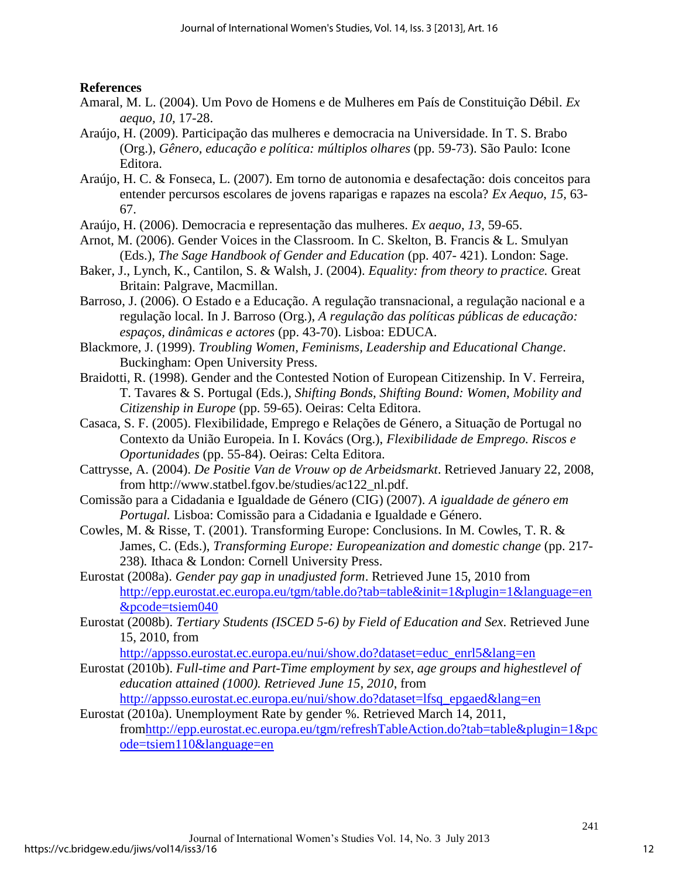# **References**

- Amaral, M. L. (2004). Um Povo de Homens e de Mulheres em País de Constituição Débil. *Ex aequo, 10,* 17-28.
- Araújo, H. (2009). Participação das mulheres e democracia na Universidade. In T. S. Brabo (Org.), *Gênero, educação e política: múltiplos olhares* (pp. 59-73). São Paulo: Icone Editora.
- Araújo, H. C. & Fonseca, L. (2007). Em torno de autonomia e desafectação: dois conceitos para entender percursos escolares de jovens raparigas e rapazes na escola? *Ex Aequo*, *15,* 63- 67.
- Araújo, H. (2006). Democracia e representação das mulheres. *Ex aequo, 13*, 59-65.
- Arnot, M. (2006). Gender Voices in the Classroom. In C. Skelton, B. Francis & L. Smulyan (Eds.), *The Sage Handbook of Gender and Education* (pp. 407- 421). London: Sage.
- Baker, J., Lynch, K., Cantilon, S. & Walsh, J. (2004). *Equality: from theory to practice.* Great Britain: Palgrave, Macmillan.
- Barroso, J. (2006). O Estado e a Educação. A regulação transnacional, a regulação nacional e a regulação local. In J. Barroso (Org.), *A regulação das políticas públicas de educação: espaços, dinâmicas e actores* (pp. 43-70). Lisboa: EDUCA.
- Blackmore, J. (1999). *Troubling Women, Feminisms, Leadership and Educational Change*. Buckingham: Open University Press.
- Braidotti, R. (1998). Gender and the Contested Notion of European Citizenship. In V. Ferreira, T. Tavares & S. Portugal (Eds.), *Shifting Bonds, Shifting Bound: Women, Mobility and Citizenship in Europe* (pp. 59-65). Oeiras: Celta Editora.
- Casaca, S. F. (2005). Flexibilidade, Emprego e Relações de Género, a Situação de Portugal no Contexto da União Europeia. In I. Kovács (Org.), *Flexibilidade de Emprego. Riscos e Oportunidades* (pp. 55-84). Oeiras: Celta Editora.
- Cattrysse, A. (2004). *De Positie Van de Vrouw op de Arbeidsmarkt*. Retrieved January 22, 2008, from http://www.statbel.fgov.be/studies/ac122\_nl.pdf.
- Comissão para a Cidadania e Igualdade de Género (CIG) (2007). *A igualdade de género em Portugal.* Lisboa: Comissão para a Cidadania e Igualdade e Género.
- Cowles, M. & Risse, T. (2001). Transforming Europe: Conclusions. In M. Cowles, T. R. & James, C. (Eds.), *Transforming Europe: Europeanization and domestic change* (pp. 217-238)*.* Ithaca & London: Cornell University Press.
- Eurostat (2008a). *Gender pay gap in unadjusted form*. Retrieved June 15, 2010 from [http://epp.eurostat.ec.europa.eu/tgm/table.do?tab=table&init=1&plugin=1&language=en](http://epp.eurostat.ec.europa.eu/tgm/table.do?tab=table&init=1&plugin=1&language=en&pcode=tsiem040) [&pcode=tsiem040](http://epp.eurostat.ec.europa.eu/tgm/table.do?tab=table&init=1&plugin=1&language=en&pcode=tsiem040)
- Eurostat (2008b). *Tertiary Students (ISCED 5-6) by Field of Education and Sex*. Retrieved June 15, 2010, from

[http://appsso.eurostat.ec.europa.eu/nui/show.do?dataset=educ\\_enrl5&lang=en](http://appsso.eurostat.ec.europa.eu/nui/show.do?dataset=educ_enrl5&lang=en) 

- Eurostat (2010b). *Full-time and Part-Time employment by sex, age groups and highestlevel of education attained (1000). Retrieved June 15, 2010*, from [http://appsso.eurostat.ec.europa.eu/nui/show.do?dataset=lfsq\\_epgaed&lang=en](http://appsso.eurostat.ec.europa.eu/nui/show.do?dataset=lfsq_epgaed&lang=en)
- Eurostat (2010a). Unemployment Rate by gender %. Retrieved March 14, 2011, fro[mhttp://epp.eurostat.ec.europa.eu/tgm/refreshTableAction.do?tab=table&plugin=1&pc](http://epp.eurostat.ec.europa.eu/tgm/refreshTableAction.do?tab=table&plugin=1&pcode=tsiem110&language=en) [ode=tsiem110&language=en](http://epp.eurostat.ec.europa.eu/tgm/refreshTableAction.do?tab=table&plugin=1&pcode=tsiem110&language=en)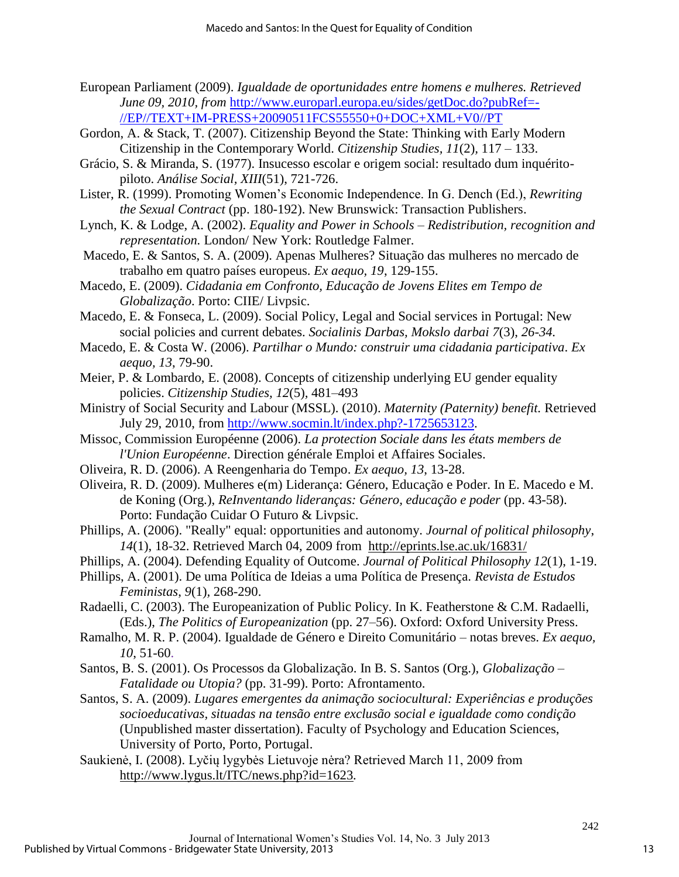- European Parliament (2009). *Igualdade de oportunidades entre homens e mulheres. Retrieved June 09, 2010, from* [http://www.europarl.europa.eu/sides/getDoc.do?pubRef=-](http://www.europarl.europa.eu/sides/getDoc.do?pubRef=-//EP//TEXT+IM-PRESS+20090511FCS55550+0+DOC+XML+V0//PT) [//EP//TEXT+IM-PRESS+20090511FCS55550+0+DOC+XML+V0//PT](http://www.europarl.europa.eu/sides/getDoc.do?pubRef=-//EP//TEXT+IM-PRESS+20090511FCS55550+0+DOC+XML+V0//PT)
- Gordon, A. & Stack, T. (2007). Citizenship Beyond the State: Thinking with Early Modern Citizenship in the Contemporary World. *Citizenship Studies, 11*(2)*,* 117 – 133.
- Grácio, S. & Miranda, S. (1977). Insucesso escolar e origem social: resultado dum inquéritopiloto. *Análise Social, XIII*(51), 721-726.
- Lister, R. (1999). Promoting Women's Economic Independence. In G. Dench (Ed.), *Rewriting the Sexual Contract* (pp. 180-192). New Brunswick: Transaction Publishers.
- Lynch, K. & Lodge, A. (2002). *Equality and Power in Schools – Redistribution, recognition and representation.* London/ New York: Routledge Falmer.
- Macedo, E. & Santos, S. A. (2009). Apenas Mulheres? Situação das mulheres no mercado de trabalho em quatro países europeus. *Ex aequo, 19*, 129-155.
- Macedo, E. (2009). *Cidadania em Confronto, Educação de Jovens Elites em Tempo de Globalização*. Porto: CIIE/ Livpsic.
- Macedo, E. & Fonseca, L. (2009). Social Policy, Legal and Social services in Portugal: New social policies and current debates. *Socialinis Darbas, Mokslo darbai 7*(3), *26-34.*
- Macedo, E. & Costa W. (2006). *Partilhar o Mundo: construir uma cidadania participativa*. *Ex aequo, 13*, 79-90.
- Meier, P. & Lombardo, E. (2008). Concepts of citizenship underlying EU gender equality policies. *Citizenship Studies, 12*(5)*,* 481–493
- Ministry of Social Security and Labour (MSSL). (2010). *Maternity (Paternity) benefit.* Retrieved July 29, 2010, from [http://www.socmin.lt/index.php?-1725653123.](http://www.socmin.lt/index.php?-1725653123)
- Missoc, Commission Européenne (2006). *La protection Sociale dans les états members de l'Union Européenne*. Direction générale Emploi et Affaires Sociales.
- Oliveira, R. D. (2006). A Reengenharia do Tempo. *Ex aequo, 13*, 13-28.
- Oliveira, R. D. (2009). Mulheres e(m) Liderança: Género, Educação e Poder. In E. Macedo e M. de Koning (Org.), *ReInventando lideranças: Género, educação e poder* (pp. 43-58). Porto: Fundação Cuidar O Futuro & Livpsic.
- Phillips, A. (2006). "Really" equal: opportunities and autonomy. *Journal of political philosophy*, *14*(1), 18-32. Retrieved March 04, 2009 from <http://eprints.lse.ac.uk/16831/>
- Phillips, A. (2004). Defending Equality of Outcome. *Journal of Political Philosophy 12*(1), 1-19.
- Phillips, A. (2001). De uma Política de Ideias a uma Política de Presença. *Revista de Estudos Feministas*, *9*(1)*,* 268-290.
- Radaelli, C. (2003). The Europeanization of Public Policy. In K. Featherstone & C.M. Radaelli, (Eds.), *The Politics of Europeanization* (pp. 27–56). Oxford: Oxford University Press.
- Ramalho, M. R. P. (2004). Igualdade de Género e Direito Comunitário notas breves. *Ex aequo, 10*, 51-60.
- Santos, B. S. (2001). Os Processos da Globalização. In B. S. Santos (Org.), *Globalização – Fatalidade ou Utopia?* (pp. 31-99). Porto: Afrontamento.
- Santos, S. A. (2009). *Lugares emergentes da animação sociocultural: Experiências e produções socioeducativas, situadas na tensão entre exclusão social e igualdade como condição* (Unpublished master dissertation). Faculty of Psychology and Education Sciences, University of Porto, Porto, Portugal.
- Saukienė, I. (2008). Lyčių lygybės Lietuvoje nėra? Retrieved March 11, 2009 from <http://www.lygus.lt/ITC/news.php?id=1623>*.*